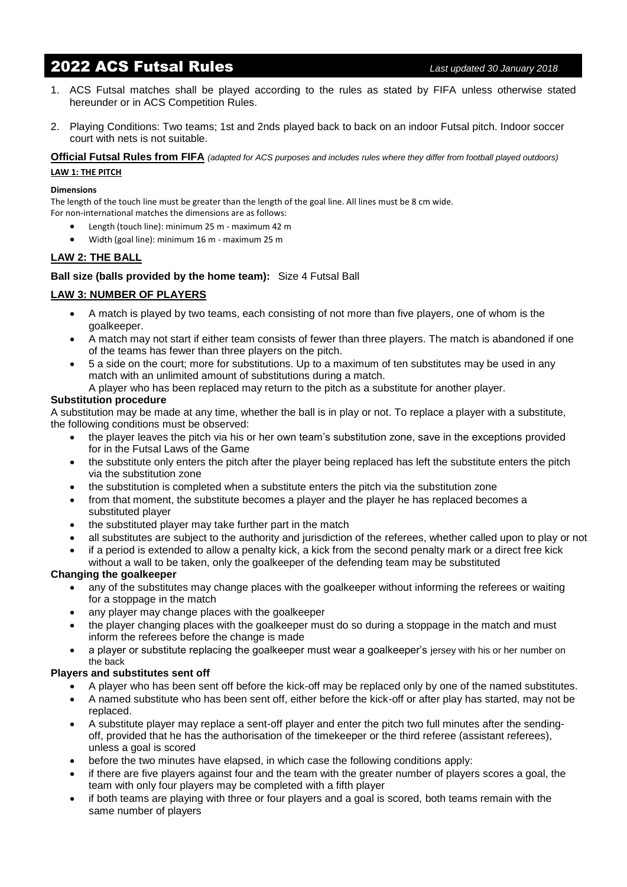# 2022 ACS Futsal Rules *Last updated 30 January 2018*

- 1. ACS Futsal matches shall be played according to the rules as stated by FIFA unless otherwise stated hereunder or in ACS Competition Rules.
- 2. Playing Conditions: Two teams; 1st and 2nds played back to back on an indoor Futsal pitch. Indoor soccer court with nets is not suitable.

**Official Futsal Rules from FIFA** *(adapted for ACS purposes and includes rules where they differ from football played outdoors)* **LAW 1: THE PITCH**

#### **Dimensions**

The length of the touch line must be greater than the length of the goal line. All lines must be 8 cm wide. For non-international matches the dimensions are as follows:

- Length (touch line): minimum 25 m maximum 42 m
- Width (goal line): minimum 16 m maximum 25 m

# **LAW 2: THE BALL**

**Ball size (balls provided by the home team):** Size 4 Futsal Ball

# **LAW 3: NUMBER OF PLAYERS**

- A match is played by two teams, each consisting of not more than five players, one of whom is the goalkeeper.
- A match may not start if either team consists of fewer than three players. The match is abandoned if one of the teams has fewer than three players on the pitch.
- 5 a side on the court; more for substitutions. Up to a maximum of ten substitutes may be used in any match with an unlimited amount of substitutions during a match.
- A player who has been replaced may return to the pitch as a substitute for another player.

#### **Substitution procedure**

A substitution may be made at any time, whether the ball is in play or not. To replace a player with a substitute, the following conditions must be observed:

- the player leaves the pitch via his or her own team's substitution zone, save in the exceptions provided for in the Futsal Laws of the Game
- the substitute only enters the pitch after the player being replaced has left the substitute enters the pitch via the substitution zone
- the substitution is completed when a substitute enters the pitch via the substitution zone
- from that moment, the substitute becomes a player and the player he has replaced becomes a substituted player
- the substituted player may take further part in the match
- all substitutes are subject to the authority and jurisdiction of the referees, whether called upon to play or not
- if a period is extended to allow a penalty kick, a kick from the second penalty mark or a direct free kick without a wall to be taken, only the goalkeeper of the defending team may be substituted

# **Changing the goalkeeper**

- any of the substitutes may change places with the goalkeeper without informing the referees or waiting for a stoppage in the match
- any player may change places with the goalkeeper
- the player changing places with the goalkeeper must do so during a stoppage in the match and must inform the referees before the change is made
- a player or substitute replacing the goalkeeper must wear a goalkeeper's jersey with his or her number on the back

# **Players and substitutes sent off**

- A player who has been sent off before the kick-off may be replaced only by one of the named substitutes.
- A named substitute who has been sent off, either before the kick-off or after play has started, may not be replaced.
- A substitute player may replace a sent-off player and enter the pitch two full minutes after the sendingoff, provided that he has the authorisation of the timekeeper or the third referee (assistant referees), unless a goal is scored
- before the two minutes have elapsed, in which case the following conditions apply:
- if there are five players against four and the team with the greater number of players scores a goal, the team with only four players may be completed with a fifth player
- if both teams are playing with three or four players and a goal is scored, both teams remain with the same number of players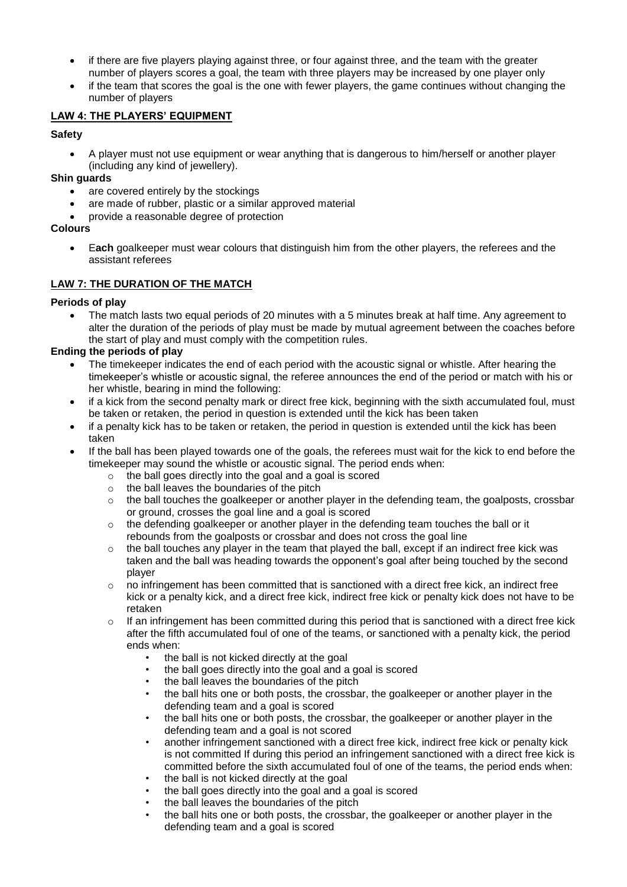- if there are five players playing against three, or four against three, and the team with the greater number of players scores a goal, the team with three players may be increased by one player only
- if the team that scores the goal is the one with fewer players, the game continues without changing the number of players

# **LAW 4: THE PLAYERS' EQUIPMENT**

# **Safety**

• A player must not use equipment or wear anything that is dangerous to him/herself or another player (including any kind of jewellery).

**Shin guards**

- are covered entirely by the stockings
- are made of rubber, plastic or a similar approved material
- provide a reasonable degree of protection

# **Colours**

• E**ach** goalkeeper must wear colours that distinguish him from the other players, the referees and the assistant referees

# **LAW 7: THE DURATION OF THE MATCH**

# **Periods of play**

• The match lasts two equal periods of 20 minutes with a 5 minutes break at half time. Any agreement to alter the duration of the periods of play must be made by mutual agreement between the coaches before the start of play and must comply with the competition rules.

# **Ending the periods of play**

- The time keeper indicates the end of each period with the acoustic signal or whistle. After hearing the timekeeper's whistle or acoustic signal, the referee announces the end of the period or match with his or her whistle, bearing in mind the following:
- if a kick from the second penalty mark or direct free kick, beginning with the sixth accumulated foul, must be taken or retaken, the period in question is extended until the kick has been taken
- if a penalty kick has to be taken or retaken, the period in question is extended until the kick has been taken
- If the ball has been played towards one of the goals, the referees must wait for the kick to end before the timekeeper may sound the whistle or acoustic signal. The period ends when:
	- $\circ$  the ball goes directly into the goal and a goal is scored
	- o the ball leaves the boundaries of the pitch
	- $\circ$  the ball touches the goalkeeper or another player in the defending team, the goalposts, crossbar or ground, crosses the goal line and a goal is scored
	- o the defending goalkeeper or another player in the defending team touches the ball or it rebounds from the goalposts or crossbar and does not cross the goal line
	- $\circ$  the ball touches any player in the team that played the ball, except if an indirect free kick was taken and the ball was heading towards the opponent's goal after being touched by the second player
	- o no infringement has been committed that is sanctioned with a direct free kick, an indirect free kick or a penalty kick, and a direct free kick, indirect free kick or penalty kick does not have to be retaken
	- $\circ$  If an infringement has been committed during this period that is sanctioned with a direct free kick after the fifth accumulated foul of one of the teams, or sanctioned with a penalty kick, the period ends when:
		- the ball is not kicked directly at the goal
		- the ball goes directly into the goal and a goal is scored
		- the ball leaves the boundaries of the pitch
		- the ball hits one or both posts, the crossbar, the goalkeeper or another player in the defending team and a goal is scored
		- the ball hits one or both posts, the crossbar, the goalkeeper or another player in the defending team and a goal is not scored
		- another infringement sanctioned with a direct free kick, indirect free kick or penalty kick is not committed If during this period an infringement sanctioned with a direct free kick is committed before the sixth accumulated foul of one of the teams, the period ends when:
		- the ball is not kicked directly at the goal
		- the ball goes directly into the goal and a goal is scored
		- the ball leaves the boundaries of the pitch
		- the ball hits one or both posts, the crossbar, the goalkeeper or another player in the defending team and a goal is scored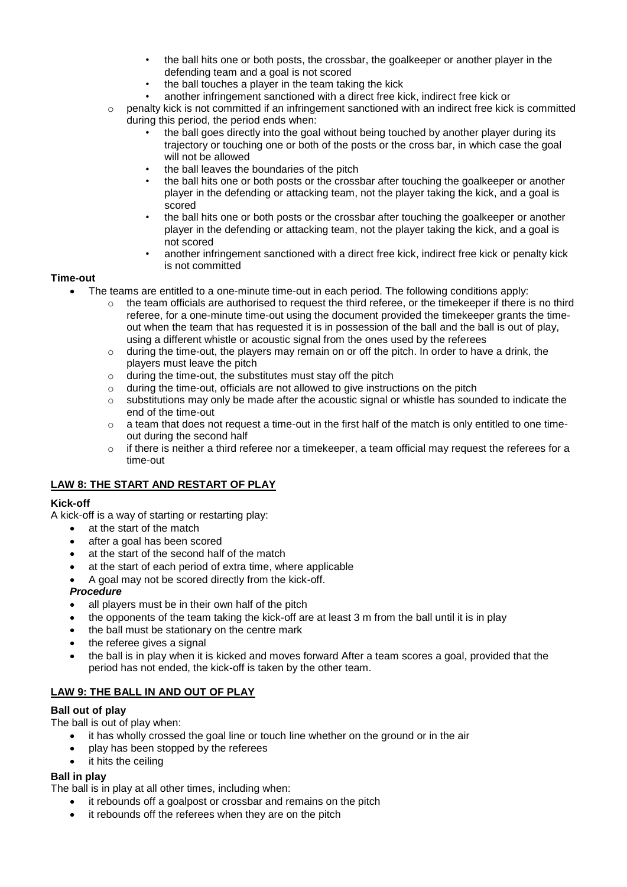- the ball hits one or both posts, the crossbar, the goalkeeper or another player in the defending team and a goal is not scored
- the ball touches a player in the team taking the kick
- another infringement sanctioned with a direct free kick, indirect free kick or
- $\circ$  penalty kick is not committed if an infringement sanctioned with an indirect free kick is committed during this period, the period ends when:
	- the ball goes directly into the goal without being touched by another player during its trajectory or touching one or both of the posts or the cross bar, in which case the goal will not be allowed
	- the ball leaves the boundaries of the pitch
	- the ball hits one or both posts or the crossbar after touching the goalkeeper or another player in the defending or attacking team, not the player taking the kick, and a goal is scored
	- the ball hits one or both posts or the crossbar after touching the goalkeeper or another player in the defending or attacking team, not the player taking the kick, and a goal is not scored
	- another infringement sanctioned with a direct free kick, indirect free kick or penalty kick is not committed

#### **Time-out**

- The teams are entitled to a one-minute time-out in each period. The following conditions apply:
	- o the team officials are authorised to request the third referee, or the timekeeper if there is no third referee, for a one-minute time-out using the document provided the timekeeper grants the timeout when the team that has requested it is in possession of the ball and the ball is out of play, using a different whistle or acoustic signal from the ones used by the referees
	- $\circ$  during the time-out, the players may remain on or off the pitch. In order to have a drink, the players must leave the pitch
	- $\circ$  during the time-out, the substitutes must stay off the pitch
	- $\circ$  during the time-out, officials are not allowed to give instructions on the pitch
	- $\circ$  substitutions may only be made after the acoustic signal or whistle has sounded to indicate the end of the time-out
	- $\circ$  a team that does not request a time-out in the first half of the match is only entitled to one timeout during the second half
	- $\circ$  if there is neither a third referee nor a timekeeper, a team official may request the referees for a time-out

# **LAW 8: THE START AND RESTART OF PLAY**

# **Kick-off**

A kick-off is a way of starting or restarting play:

- at the start of the match
- after a goal has been scored
- at the start of the second half of the match
- at the start of each period of extra time, where applicable
- A goal may not be scored directly from the kick-off.

#### *Procedure*

- all players must be in their own half of the pitch
- the opponents of the team taking the kick-off are at least 3 m from the ball until it is in play
- the ball must be stationary on the centre mark
- the referee gives a signal
- the ball is in play when it is kicked and moves forward After a team scores a goal, provided that the period has not ended, the kick-off is taken by the other team.

# **LAW 9: THE BALL IN AND OUT OF PLAY**

# **Ball out of play**

The ball is out of play when:

- it has wholly crossed the goal line or touch line whether on the ground or in the air
- play has been stopped by the referees
- it hits the ceiling

# **Ball in play**

The ball is in play at all other times, including when:

- it rebounds off a goalpost or crossbar and remains on the pitch
- it rebounds off the referees when they are on the pitch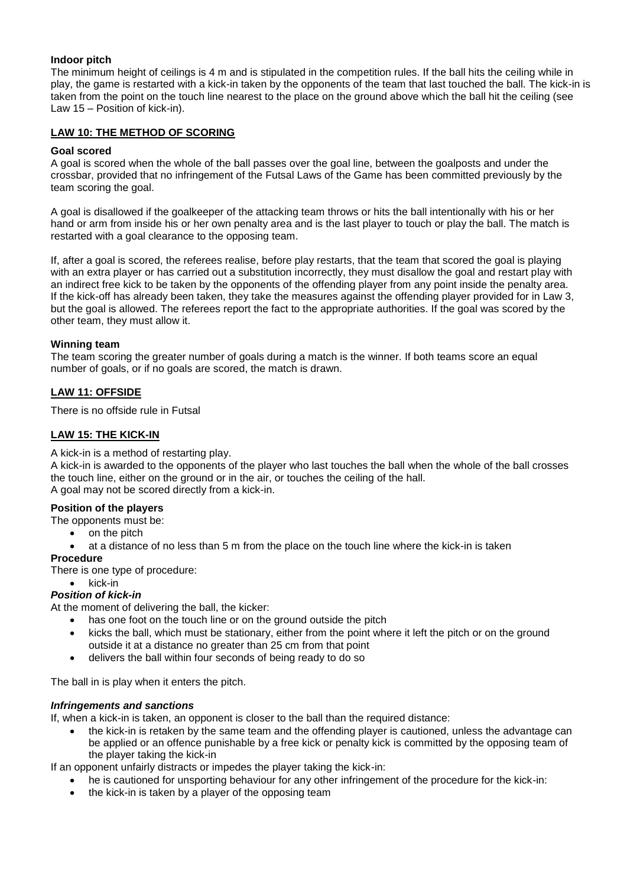### **Indoor pitch**

The minimum height of ceilings is 4 m and is stipulated in the competition rules. If the ball hits the ceiling while in play, the game is restarted with a kick-in taken by the opponents of the team that last touched the ball. The kick-in is taken from the point on the touch line nearest to the place on the ground above which the ball hit the ceiling (see Law 15 – Position of kick-in).

#### **LAW 10: THE METHOD OF SCORING**

#### **Goal scored**

A goal is scored when the whole of the ball passes over the goal line, between the goalposts and under the crossbar, provided that no infringement of the Futsal Laws of the Game has been committed previously by the team scoring the goal.

A goal is disallowed if the goalkeeper of the attacking team throws or hits the ball intentionally with his or her hand or arm from inside his or her own penalty area and is the last player to touch or play the ball. The match is restarted with a goal clearance to the opposing team.

If, after a goal is scored, the referees realise, before play restarts, that the team that scored the goal is playing with an extra player or has carried out a substitution incorrectly, they must disallow the goal and restart play with an indirect free kick to be taken by the opponents of the offending player from any point inside the penalty area. If the kick-off has already been taken, they take the measures against the offending player provided for in Law 3, but the goal is allowed. The referees report the fact to the appropriate authorities. If the goal was scored by the other team, they must allow it.

#### **Winning team**

The team scoring the greater number of goals during a match is the winner. If both teams score an equal number of goals, or if no goals are scored, the match is drawn.

# **LAW 11: OFFSIDE**

There is no offside rule in Futsal

#### **LAW 15: THE KICK-IN**

A kick-in is a method of restarting play.

A kick-in is awarded to the opponents of the player who last touches the ball when the whole of the ball crosses the touch line, either on the ground or in the air, or touches the ceiling of the hall. A goal may not be scored directly from a kick-in.

#### **Position of the players**

The opponents must be:

- on the pitch
- at a distance of no less than 5 m from the place on the touch line where the kick-in is taken

#### **Procedure**

There is one type of procedure:

#### • kick-in

### *Position of kick-in*

At the moment of delivering the ball, the kicker:

- has one foot on the touch line or on the ground outside the pitch
- kicks the ball, which must be stationary, either from the point where it left the pitch or on the ground outside it at a distance no greater than 25 cm from that point
- delivers the ball within four seconds of being ready to do so

The ball in is play when it enters the pitch.

#### *Infringements and sanctions*

If, when a kick-in is taken, an opponent is closer to the ball than the required distance:

• the kick-in is retaken by the same team and the offending player is cautioned, unless the advantage can be applied or an offence punishable by a free kick or penalty kick is committed by the opposing team of the player taking the kick-in

If an opponent unfairly distracts or impedes the player taking the kick-in:

- he is cautioned for unsporting behaviour for any other infringement of the procedure for the kick-in:
- the kick-in is taken by a player of the opposing team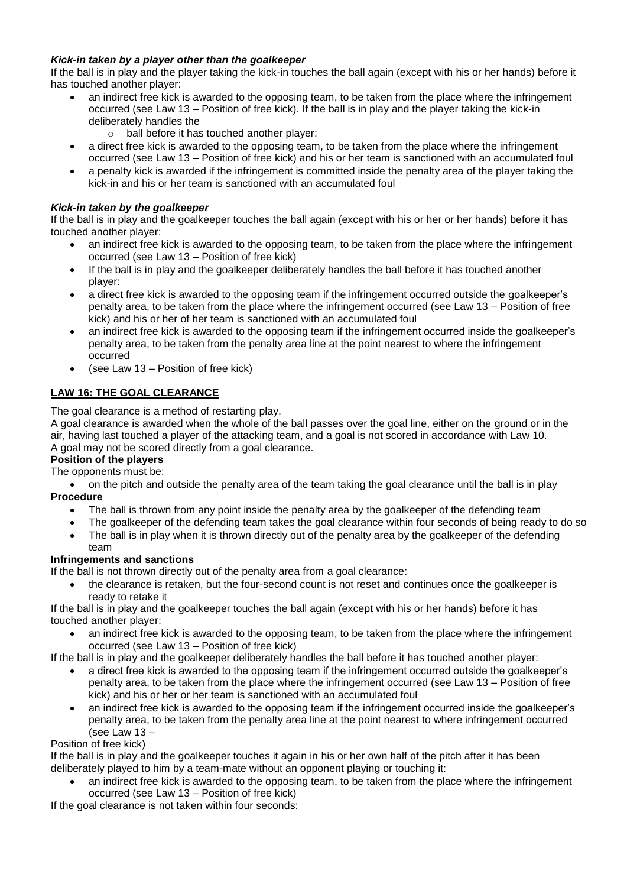# *Kick-in taken by a player other than the goalkeeper*

If the ball is in play and the player taking the kick-in touches the ball again (except with his or her hands) before it has touched another player:

- an indirect free kick is awarded to the opposing team, to be taken from the place where the infringement occurred (see Law 13 – Position of free kick). If the ball is in play and the player taking the kick-in deliberately handles the
	- o ball before it has touched another player:
- a direct free kick is awarded to the opposing team, to be taken from the place where the infringement occurred (see Law 13 – Position of free kick) and his or her team is sanctioned with an accumulated foul
- a penalty kick is awarded if the infringement is committed inside the penalty area of the player taking the kick-in and his or her team is sanctioned with an accumulated foul

# *Kick-in taken by the goalkeeper*

If the ball is in play and the goalkeeper touches the ball again (except with his or her or her hands) before it has touched another player:

- an indirect free kick is awarded to the opposing team, to be taken from the place where the infringement occurred (see Law 13 – Position of free kick)
- If the ball is in play and the goalkeeper deliberately handles the ball before it has touched another player:
- a direct free kick is awarded to the opposing team if the infringement occurred outside the goalkeeper's penalty area, to be taken from the place where the infringement occurred (see Law 13 – Position of free kick) and his or her of her team is sanctioned with an accumulated foul
- an indirect free kick is awarded to the opposing team if the infringement occurred inside the goalkeeper's penalty area, to be taken from the penalty area line at the point nearest to where the infringement occurred
- (see Law 13 Position of free kick)

# **LAW 16: THE GOAL CLEARANCE**

The goal clearance is a method of restarting play.

A goal clearance is awarded when the whole of the ball passes over the goal line, either on the ground or in the air, having last touched a player of the attacking team, and a goal is not scored in accordance with Law 10. A goal may not be scored directly from a goal clearance.

# **Position of the players**

The opponents must be:

• on the pitch and outside the penalty area of the team taking the goal clearance until the ball is in play **Procedure**

- The ball is thrown from any point inside the penalty area by the goalkeeper of the defending team
- The goalkeeper of the defending team takes the goal clearance within four seconds of being ready to do so
- The ball is in play when it is thrown directly out of the penalty area by the goalkeeper of the defending team

# **Infringements and sanctions**

If the ball is not thrown directly out of the penalty area from a goal clearance:

• the clearance is retaken, but the four-second count is not reset and continues once the goalkeeper is ready to retake it

If the ball is in play and the goalkeeper touches the ball again (except with his or her hands) before it has touched another player:

an indirect free kick is awarded to the opposing team, to be taken from the place where the infringement occurred (see Law 13 – Position of free kick)

If the ball is in play and the goalkeeper deliberately handles the ball before it has touched another player:

- a direct free kick is awarded to the opposing team if the infringement occurred outside the goalkeeper's penalty area, to be taken from the place where the infringement occurred (see Law 13 – Position of free kick) and his or her or her team is sanctioned with an accumulated foul
- an indirect free kick is awarded to the opposing team if the infringement occurred inside the goalkeeper's penalty area, to be taken from the penalty area line at the point nearest to where infringement occurred (see Law 13 –

# Position of free kick)

If the ball is in play and the goalkeeper touches it again in his or her own half of the pitch after it has been deliberately played to him by a team-mate without an opponent playing or touching it:

• an indirect free kick is awarded to the opposing team, to be taken from the place where the infringement occurred (see Law 13 – Position of free kick)

If the goal clearance is not taken within four seconds: